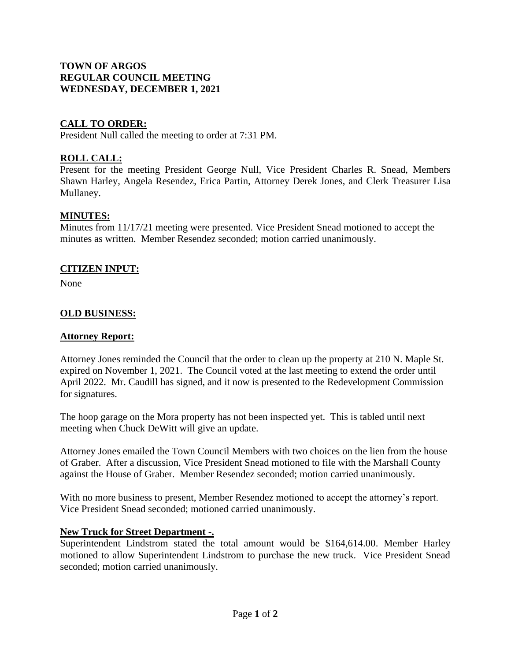## **TOWN OF ARGOS REGULAR COUNCIL MEETING WEDNESDAY, DECEMBER 1, 2021**

# **CALL TO ORDER:**

President Null called the meeting to order at 7:31 PM.

# **ROLL CALL:**

Present for the meeting President George Null, Vice President Charles R. Snead, Members Shawn Harley, Angela Resendez, Erica Partin, Attorney Derek Jones, and Clerk Treasurer Lisa Mullaney.

## **MINUTES:**

Minutes from 11/17/21 meeting were presented. Vice President Snead motioned to accept the minutes as written. Member Resendez seconded; motion carried unanimously.

### **CITIZEN INPUT:**

None

### **OLD BUSINESS:**

#### **Attorney Report:**

Attorney Jones reminded the Council that the order to clean up the property at 210 N. Maple St. expired on November 1, 2021. The Council voted at the last meeting to extend the order until April 2022. Mr. Caudill has signed, and it now is presented to the Redevelopment Commission for signatures.

The hoop garage on the Mora property has not been inspected yet. This is tabled until next meeting when Chuck DeWitt will give an update.

Attorney Jones emailed the Town Council Members with two choices on the lien from the house of Graber. After a discussion, Vice President Snead motioned to file with the Marshall County against the House of Graber. Member Resendez seconded; motion carried unanimously.

With no more business to present, Member Resendez motioned to accept the attorney's report. Vice President Snead seconded; motioned carried unanimously.

### **New Truck for Street Department -.**

Superintendent Lindstrom stated the total amount would be \$164,614.00. Member Harley motioned to allow Superintendent Lindstrom to purchase the new truck. Vice President Snead seconded; motion carried unanimously.